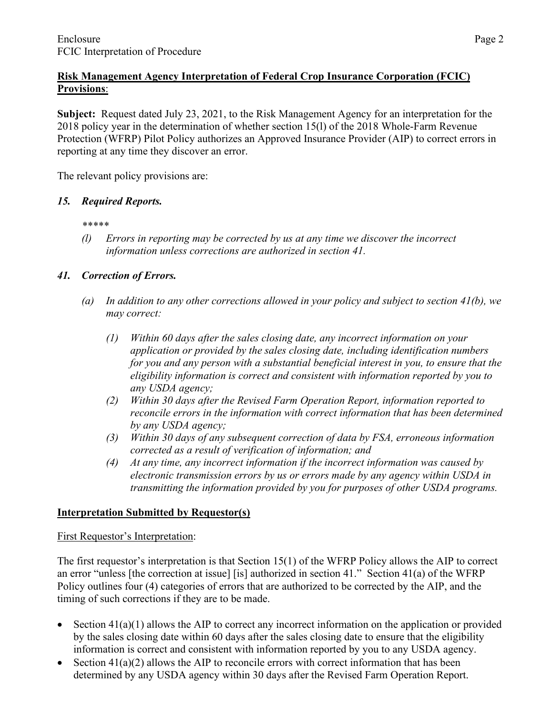# **Risk Management Agency Interpretation of Federal Crop Insurance Corporation (FCIC) Provisions**:

**Subject:** Request dated July 23, 2021, to the Risk Management Agency for an interpretation for the 2018 policy year in the determination of whether section 15(l) of the 2018 Whole-Farm Revenue Protection (WFRP) Pilot Policy authorizes an Approved Insurance Provider (AIP) to correct errors in reporting at any time they discover an error.

The relevant policy provisions are:

### *15. Required Reports.*

*\*\*\*\*\**

*(l) Errors in reporting may be corrected by us at any time we discover the incorrect information unless corrections are authorized in section 41.*

## *41. Correction of Errors.*

- *(a) In addition to any other corrections allowed in your policy and subject to section 41(b), we may correct:*
	- *(1) Within 60 days after the sales closing date, any incorrect information on your application or provided by the sales closing date, including identification numbers for you and any person with a substantial beneficial interest in you, to ensure that the eligibility information is correct and consistent with information reported by you to any USDA agency;*
	- *(2) Within 30 days after the Revised Farm Operation Report, information reported to reconcile errors in the information with correct information that has been determined by any USDA agency;*
	- *(3) Within 30 days of any subsequent correction of data by FSA, erroneous information corrected as a result of verification of information; and*
	- *(4) At any time, any incorrect information if the incorrect information was caused by electronic transmission errors by us or errors made by any agency within USDA in transmitting the information provided by you for purposes of other USDA programs.*

## **Interpretation Submitted by Requestor(s)**

#### First Requestor's Interpretation:

The first requestor's interpretation is that Section 15(1) of the WFRP Policy allows the AIP to correct an error "unless [the correction at issue] [is] authorized in section 41." Section 41(a) of the WFRP Policy outlines four (4) categories of errors that are authorized to be corrected by the AIP, and the timing of such corrections if they are to be made.

- Section 41(a)(1) allows the AIP to correct any incorrect information on the application or provided by the sales closing date within 60 days after the sales closing date to ensure that the eligibility information is correct and consistent with information reported by you to any USDA agency.
- Section  $41(a)(2)$  allows the AIP to reconcile errors with correct information that has been determined by any USDA agency within 30 days after the Revised Farm Operation Report.